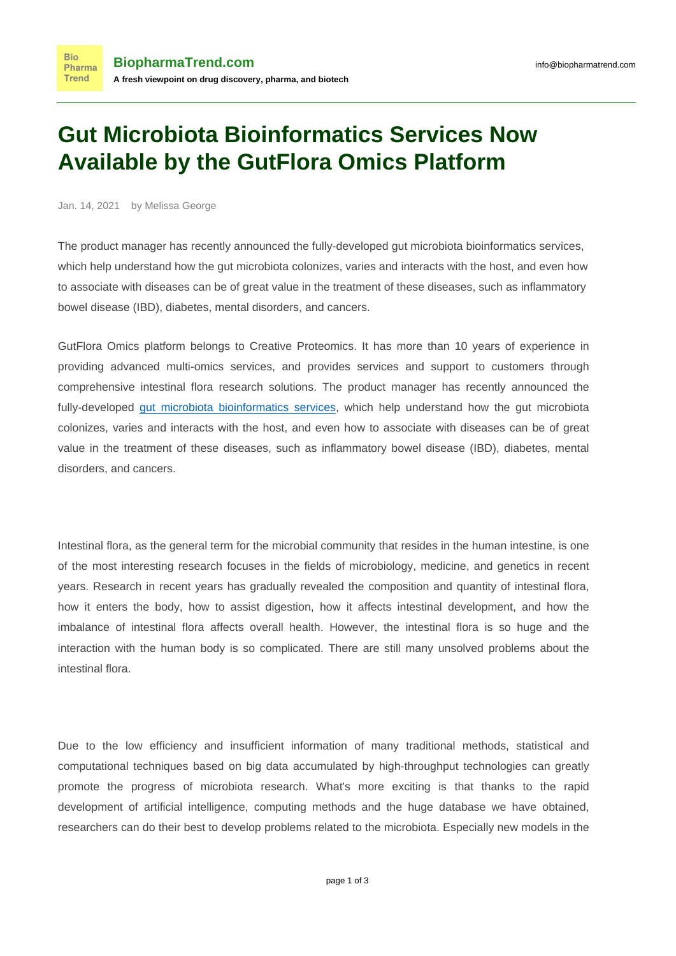## **Gut Microbiota Bioinformatics Services Now Available by the GutFlora Omics Platform**

Jan. 14, 2021 by Melissa George

**Bio** 

**Trend** 

The product manager has recently announced the fully-developed gut microbiota bioinformatics services, which help understand how the gut microbiota colonizes, varies and interacts with the host, and even how to associate with diseases can be of great value in the treatment of these diseases, such as inflammatory bowel disease (IBD), diabetes, mental disorders, and cancers.

GutFlora Omics platform belongs to Creative Proteomics. It has more than 10 years of experience in providing advanced multi-omics services, and provides services and support to customers through comprehensive intestinal flora research solutions. The product manager has recently announced the fully-developed [gut microbiota bioinformatics services,](https://gutfloraomics.creative-proteomics.com/bioinformatics-analysis.htm) which help understand how the gut microbiota colonizes, varies and interacts with the host, and even how to associate with diseases can be of great value in the treatment of these diseases, such as inflammatory bowel disease (IBD), diabetes, mental disorders, and cancers.

Intestinal flora, as the general term for the microbial community that resides in the human intestine, is one of the most interesting research focuses in the fields of microbiology, medicine, and genetics in recent years. Research in recent years has gradually revealed the composition and quantity of intestinal flora, how it enters the body, how to assist digestion, how it affects intestinal development, and how the imbalance of intestinal flora affects overall health. However, the intestinal flora is so huge and the interaction with the human body is so complicated. There are still many unsolved problems about the intestinal flora.

Due to the low efficiency and insufficient information of many traditional methods, statistical and computational techniques based on big data accumulated by high-throughput technologies can greatly promote the progress of microbiota research. What's more exciting is that thanks to the rapid development of artificial intelligence, computing methods and the huge database we have obtained, researchers can do their best to develop problems related to the microbiota. Especially new models in the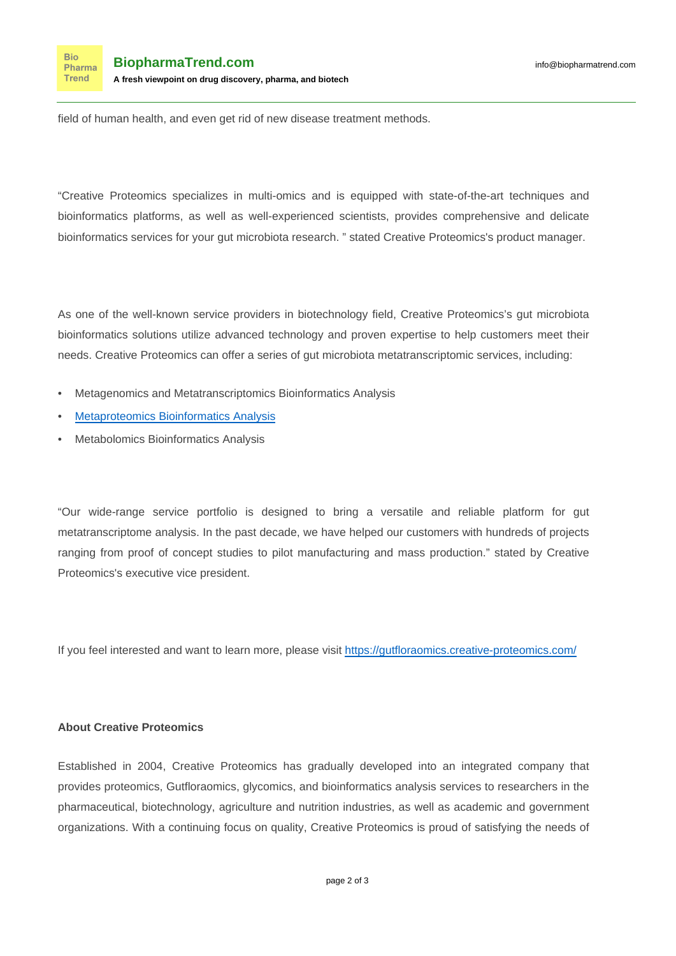field of human health, and even get rid of new disease treatment methods.

"Creative Proteomics specializes in multi-omics and is equipped with state-of-the-art techniques and bioinformatics platforms, as well as well-experienced scientists, provides comprehensive and delicate bioinformatics services for your gut microbiota research. " stated Creative Proteomics's product manager.

As one of the well-known service providers in biotechnology field, Creative Proteomics's gut microbiota bioinformatics solutions utilize advanced technology and proven expertise to help customers meet their needs. Creative Proteomics can offer a series of gut microbiota metatranscriptomic services, including:

- Metagenomics and Metatranscriptomics Bioinformatics Analysis
- [Metaproteomics Bioinformatics Analysis](https://gutfloraomics.creative-proteomics.com/metaproteomics-bioinformatics-analysis.htm)
- Metabolomics Bioinformatics Analysis

"Our wide-range service portfolio is designed to bring a versatile and reliable platform for gut metatranscriptome analysis. In the past decade, we have helped our customers with hundreds of projects ranging from proof of concept studies to pilot manufacturing and mass production." stated by Creative Proteomics's executive vice president.

If you feel interested and want to learn more, please visit <https://gutfloraomics.creative-proteomics.com/>

## **About Creative Proteomics**

Established in 2004, Creative Proteomics has gradually developed into an integrated company that provides proteomics, Gutfloraomics, glycomics, and bioinformatics analysis services to researchers in the pharmaceutical, biotechnology, agriculture and nutrition industries, as well as academic and government organizations. With a continuing focus on quality, Creative Proteomics is proud of satisfying the needs of